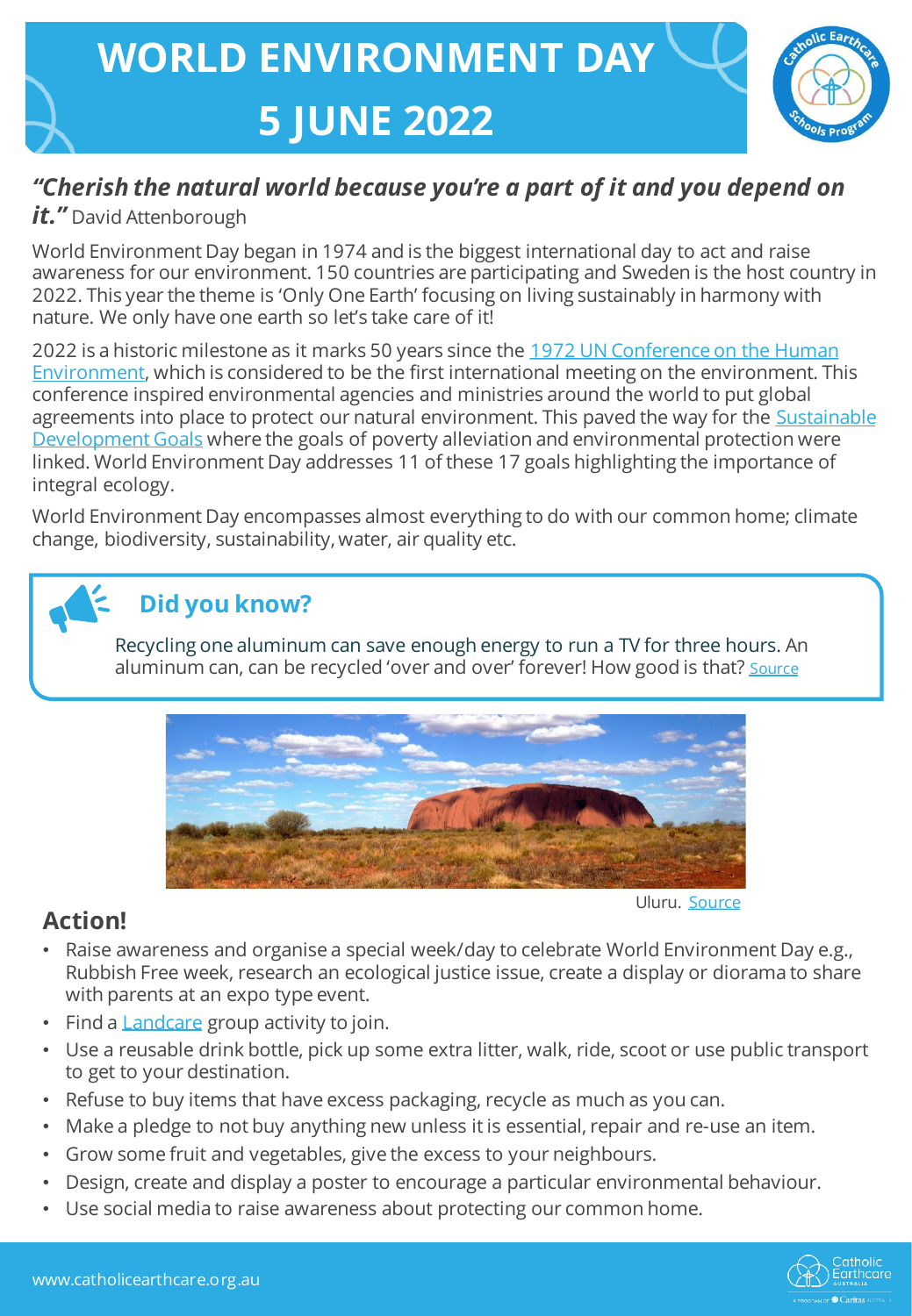

## *"Cherish the natural world because you're a part of it and you depend on*

#### *it."* David Attenborough

World Environment Day began in 1974 and is the biggest international day to act and raise awareness for our environment. 150 countries are participating and Sweden is the host country in 2022. This year the theme is 'Only One Earth' focusing on living sustainably in harmony with nature. We only have one earth so let's take care of it!

2022 is a historic milestone as it marks 50 years since the 1972 UN Conference on the Human [Environment, which is considered to be the first international meeting on the environment. Th](https://www.un.org/en/conferences/environment/stockholm1972)is conference inspired environmental agencies and ministries around the world to put global agreements into place to protect our natural environment. This paved the way for the **Sustainable** Development Goals where the goals of poverty alleviation and environmental protection were linked. World Environment Day addresses 11 of these 17 goals highlighting the importance of integral ecology.

World Environment Day encompasses almost everything to do with our common home; climate change, biodiversity, sustainability, water, air quality etc.

# **Did you know?**

Recycling one aluminum can save enough energy to run a TV for three hours. An aluminum can, can be recycled 'over and over' forever! How good is that? [Source](https://www.earthecho.org/news/did-you-know-some-interesting-facts-about-the-environment)



### **Action!**

Uluru. [Source](https://caritasaus.sharepoint.com/sites/caritas_community-engagement/Catholic%20Earthcare%20Resources/Work%20In%20Progress/Free%20Images%20:%20landscape,%20wilderness,%20prairie,%20hill,%20panorama,%20formation,%20cliff,%20soil,%20terrain,%20national%20park,%20savanna,%20plain,%20places%20of%20interest,%20australia,%20geology,%20grassland,%20badlands,%20uluru,%20plateau,%20ecosystem,%20outback,%20tundra,%20butte,%20steppe,%20ayers%20rock,%20natural%20environment,%20geographical%20feature,%20ecoregion%203008x2000%20-%20-%20914487%20-%20Free%20stock%20photos%20-%20PxHere)

- Raise awareness and organise a special week/day to celebrate World Environment Day e.g., Rubbish Free week, research an ecological justice issue, create a display or diorama to share with parents at an expo type event.
- Find a **Landcare** group activity to join.
- Use a reusable drink bottle, pick up some extra litter, walk, ride, scoot or use public transport to get to your destination.
- Refuse to buy items that have excess packaging, recycle as much as you can.
- Make a pledge to not buy anything new unless it is essential, repair and re-use an item.
- Grow some fruit and vegetables, give the excess to your neighbours.
- Design, create and display a poster to encourage a particular environmental behaviour.
- Use social media to raise awareness about protecting our common home.